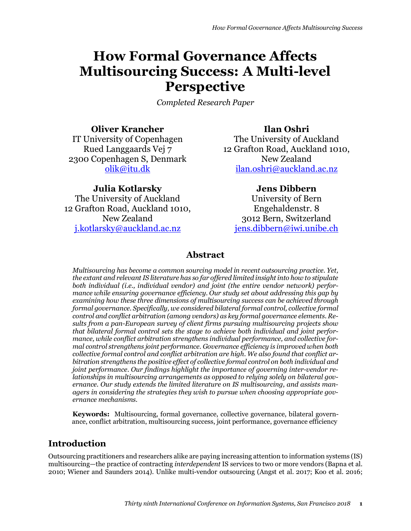# **How Formal Governance Affects Multisourcing Success: A Multi-level Perspective**

*Completed Research Paper*

## **Oliver Krancher**

IT University of Copenhagen Rued Langgaards Vej 7 2300 Copenhagen S, Denmark olik@itu.dk

## **Julia Kotlarsky**

The University of Auckland 12 Grafton Road, Auckland 1010, New Zealand j.kotlarsky@auckland.ac.nz

# **Ilan Oshri**

The University of Auckland 12 Grafton Road, Auckland 1010, New Zealand ilan.oshri@auckland.ac.nz

## **Jens Dibbern**

University of Bern Engehaldenstr. 8 3012 Bern, Switzerland jens.dibbern@iwi.unibe.ch

## **Abstract**

*Multisourcing has become a common sourcing model in recent outsourcing practice. Yet, the extant and relevant IS literature has so far offered limited insight into how to stipulate both individual (i.e., individual vendor) and joint (the entire vendor network) performance while ensuring governance efficiency. Our study set about addressing this gap by examining how these three dimensions of multisourcing success can be achieved through formal governance. Specifically, we considered bilateral formal control, collective formal control and conflict arbitration (among vendors) as key formal governance elements. Results from a pan-European survey of client firms pursuing multisourcing projects show that bilateral formal control sets the stage to achieve both individual and joint performance, while conflict arbitration strengthens individual performance, and collective formal control strengthens joint performance. Governance efficiency is improved when both collective formal control and conflict arbitration are high. We also found that conflict arbitration strengthens the positive effect of collective formal control on both individual and joint performance. Our findings highlight the importance of governing inter-vendor relationships in multisourcing arrangements as opposed to relying solely on bilateral governance. Our study extends the limited literature on IS multisourcing, and assists managers in considering the strategies they wish to pursue when choosing appropriate governance mechanisms.* 

**Keywords:** Multisourcing, formal governance, collective governance, bilateral governance, conflict arbitration, multisourcing success, joint performance, governance efficiency

## **Introduction**

Outsourcing practitioners and researchers alike are paying increasing attention to information systems (IS) multisourcing—the practice of contracting *interdependent* IS services to two or more vendors (Bapna et al. 2010; Wiener and Saunders 2014). Unlike multi-vendor outsourcing (Angst et al. 2017; Koo et al. 2016;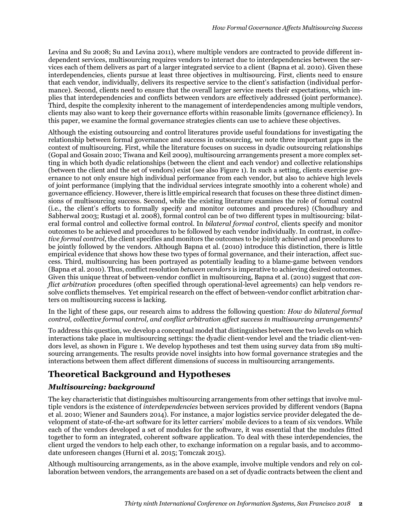Levina and Su 2008; Su and Levina 2011), where multiple vendors are contracted to provide different independent services, multisourcing requires vendors to interact due to interdependencies between the services each of them delivers as part of a larger integrated service to a client (Bapna et al. 2010). Given these interdependencies, clients pursue at least three objectives in multisourcing. First, clients need to ensure that each vendor, individually, delivers its respective service to the client's satisfaction (individual performance). Second, clients need to ensure that the overall larger service meets their expectations, which implies that interdependencies and conflicts between vendors are effectively addressed (joint performance). Third, despite the complexity inherent to the management of interdependencies among multiple vendors, clients may also want to keep their governance efforts within reasonable limits (governance efficiency). In this paper, we examine the formal governance strategies clients can use to achieve these objectives.

Although the existing outsourcing and control literatures provide useful foundations for investigating the relationship between formal governance and success in outsourcing, we note three important gaps in the context of multisourcing. First, while the literature focuses on success in dyadic outsourcing relationships (Gopal and Gosain 2010; Tiwana and Keil 2009), multisourcing arrangements present a more complex setting in which both dyadic relationships (between the client and each vendor) and collective relationships (between the client and the set of vendors) exist (see also Figure 1). In such a setting, clients exercise governance to not only ensure high individual performance from each vendor, but also to achieve high levels of joint performance (implying that the individual services integrate smoothly into a coherent whole) and governance efficiency. However, there is little empirical research that focuses on these three distinct dimensions of multisourcing success. Second, while the existing literature examines the role of formal control (i.e., the client's efforts to formally specify and monitor outcomes and procedures) (Choudhury and Sabherwal 2003; Rustagi et al. 2008), formal control can be of two different types in multisourcing: bilateral formal control and collective formal control. In *bilateral formal control*, clients specify and monitor outcomes to be achieved and procedures to be followed by each vendor individually. In contrast, in *collective formal control*, the client specifies and monitors the outcomes to be jointly achieved and procedures to be jointly followed by the vendors. Although Bapna et al. (2010) introduce this distinction, there is little empirical evidence that shows how these two types of formal governance, and their interaction, affect success. Third, multisourcing has been portrayed as potentially leading to a blame-game between vendors (Bapna et al. 2010). Thus, conflict resolution *between vendors* is imperative to achieving desired outcomes. Given this unique threat of between-vendor conflict in multisourcing, Bapna et al. (2010) suggest that *conflict arbitration* procedures (often specified through operational-level agreements) can help vendors resolve conflicts themselves. Yet empirical research on the effect of between-vendor conflict arbitration charters on multisourcing success is lacking.

In the light of these gaps, our research aims to address the following question: *How do bilateral formal control, collective formal control, and conflict arbitration affect success in multisourcing arrangements?*

To address this question, we develop a conceptual model that distinguishes between the two levels on which interactions take place in multisourcing settings: the dyadic client-vendor level and the triadic client-vendors level, as shown in Figure 1. We develop hypotheses and test them using survey data from 189 multisourcing arrangements. The results provide novel insights into how formal governance strategies and the interactions between them affect different dimensions of success in multisourcing arrangements.

# **Theoretical Background and Hypotheses**

## *Multisourcing: background*

The key characteristic that distinguishes multisourcing arrangements from other settings that involve multiple vendors is the existence of *interdependencies* between services provided by different vendors (Bapna et al. 2010; Wiener and Saunders 2014). For instance, a major logistics service provider delegated the development of state-of-the-art software for its letter carriers' mobile devices to a team of six vendors. While each of the vendors developed a set of modules for the software, it was essential that the modules fitted together to form an integrated, coherent software application. To deal with these interdependencies, the client urged the vendors to help each other, to exchange information on a regular basis, and to accommodate unforeseen changes (Hurni et al. 2015; Tomczak 2015).

Although multisourcing arrangements, as in the above example, involve multiple vendors and rely on collaboration between vendors, the arrangements are based on a set of dyadic contracts between the client and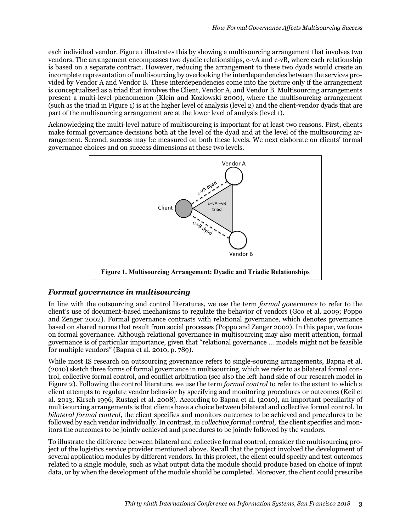each individual vendor. Figure 1 illustrates this by showing a multisourcing arrangement that involves two vendors. The arrangement encompasses two dyadic relationships, c-vA and c-vB, where each relationship is based on a separate contract. However, reducing the arrangement to these two dyads would create an incomplete representation of multisourcing by overlooking the interdependencies between the services provided by Vendor A and Vendor B. These interdependencies come into the picture only if the arrangement is conceptualized as a triad that involves the Client, Vendor A, and Vendor B. Multisourcing arrangements present a multi-level phenomenon (Klein and Kozlowski 2000), where the multisourcing arrangement (such as the triad in Figure 1) is at the higher level of analysis (level 2) and the client-vendor dyads that are part of the multisourcing arrangement are at the lower level of analysis (level 1).

Acknowledging the multi-level nature of multisourcing is important for at least two reasons. First, clients make formal governance decisions both at the level of the dyad and at the level of the multisourcing arrangement. Second, success may be measured on both these levels. We next elaborate on clients' formal governance choices and on success dimensions at these two levels.



## *Formal governance in multisourcing*

In line with the outsourcing and control literatures, we use the term *formal governance* to refer to the client's use of document-based mechanisms to regulate the behavior of vendors (Goo et al. 2009; Poppo and Zenger 2002). Formal governance contrasts with relational governance, which denotes governance based on shared norms that result from social processes (Poppo and Zenger 2002). In this paper, we focus on formal governance. Although relational governance in multisourcing may also merit attention, formal governance is of particular importance, given that "relational governance … models might not be feasible for multiple vendors" (Bapna et al. 2010, p. 789).

While most IS research on outsourcing governance refers to single-sourcing arrangements, Bapna et al. (2010) sketch three forms of formal governance in multisourcing, which we refer to as bilateral formal control, collective formal control, and conflict arbitration (see also the left-hand side of our research model in Figure 2). Following the control literature, we use the term *formal control* to refer to the extent to which a client attempts to regulate vendor behavior by specifying and monitoring procedures or outcomes (Keil et al. 2013; Kirsch 1996; Rustagi et al. 2008). According to Bapna et al. (2010), an important peculiarity of multisourcing arrangements is that clients have a choice between bilateral and collective formal control. In *bilateral formal control,* the client specifies and monitors outcomes to be achieved and procedures to be followed by each vendor individually. In contrast, in *collective formal control,* the client specifies and monitors the outcomes to be jointly achieved and procedures to be jointly followed by the vendors.

To illustrate the difference between bilateral and collective formal control, consider the multisourcing project of the logistics service provider mentioned above. Recall that the project involved the development of several application modules by different vendors. In this project, the client could specify and test outcomes related to a single module, such as what output data the module should produce based on choice of input data, or by when the development of the module should be completed. Moreover, the client could prescribe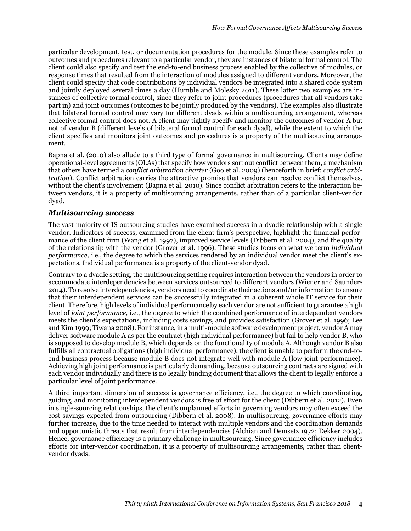particular development, test, or documentation procedures for the module. Since these examples refer to outcomes and procedures relevant to a particular vendor, they are instances of bilateral formal control. The client could also specify and test the end-to-end business process enabled by the collective of modules, or response times that resulted from the interaction of modules assigned to different vendors. Moreover, the client could specify that code contributions by individual vendors be integrated into a shared code system and jointly deployed several times a day (Humble and Molesky 2011). These latter two examples are instances of collective formal control, since they refer to joint procedures (procedures that all vendors take part in) and joint outcomes (outcomes to be jointly produced by the vendors). The examples also illustrate that bilateral formal control may vary for different dyads within a multisourcing arrangement, whereas collective formal control does not. A client may tightly specify and monitor the outcomes of vendor A but not of vendor B (different levels of bilateral formal control for each dyad), while the extent to which the client specifies and monitors joint outcomes and procedures is a property of the multisourcing arrangement.

Bapna et al. (2010) also allude to a third type of formal governance in multisourcing. Clients may define operational-level agreements (OLAs) that specify how vendors sort out conflict between them, a mechanism that others have termed a *conflict arbitration charter* (Goo et al. 2009) (henceforth in brief: *conflict arbitration*). Conflict arbitration carries the attractive promise that vendors can resolve conflict themselves, without the client's involvement (Bapna et al. 2010). Since conflict arbitration refers to the interaction between vendors, it is a property of multisourcing arrangements, rather than of a particular client-vendor dyad.

#### *Multisourcing success*

The vast majority of IS outsourcing studies have examined success in a dyadic relationship with a single vendor. Indicators of success, examined from the client firm's perspective, highlight the financial performance of the client firm (Wang et al. 1997), improved service levels (Dibbern et al. 2004), and the quality of the relationship with the vendor (Grover et al. 1996). These studies focus on what we term *individual performance*, i.e., the degree to which the services rendered by an individual vendor meet the client's expectations. Individual performance is a property of the client-vendor dyad.

Contrary to a dyadic setting, the multisourcing setting requires interaction between the vendors in order to accommodate interdependencies between services outsourced to different vendors (Wiener and Saunders 2014). To resolve interdependencies, vendors need to coordinate their actions and/or information to ensure that their interdependent services can be successfully integrated in a coherent whole IT service for their client. Therefore, high levels of individual performance by each vendor are not sufficient to guarantee a high level of *joint performance*, i.e., the degree to which the combined performance of interdependent vendors meets the client's expectations, including costs savings, and provides satisfaction (Grover et al. 1996; Lee and Kim 1999; Tiwana 2008). For instance, in a multi-module software development project, vendor A may deliver software module A as per the contract (high individual performance) but fail to help vendor B, who is supposed to develop module B, which depends on the functionality of module A. Although vendor B also fulfills all contractual obligations (high individual performance), the client is unable to perform the end-toend business process because module B does not integrate well with module A (low joint performance). Achieving high joint performance is particularly demanding, because outsourcing contracts are signed with each vendor individually and there is no legally binding document that allows the client to legally enforce a particular level of joint performance.

A third important dimension of success is governance efficiency, i.e., the degree to which coordinating, guiding, and monitoring interdependent vendors is free of effort for the client (Dibbern et al. 2012)*.* Even in single-sourcing relationships, the client's unplanned efforts in governing vendors may often exceed the cost savings expected from outsourcing (Dibbern et al. 2008). In multisourcing, governance efforts may further increase, due to the time needed to interact with multiple vendors and the coordination demands and opportunistic threats that result from interdependencies (Alchian and Demsetz 1972; Dekker 2004). Hence, governance efficiency is a primary challenge in multisourcing. Since governance efficiency includes efforts for inter-vendor coordination, it is a property of multisourcing arrangements, rather than clientvendor dyads.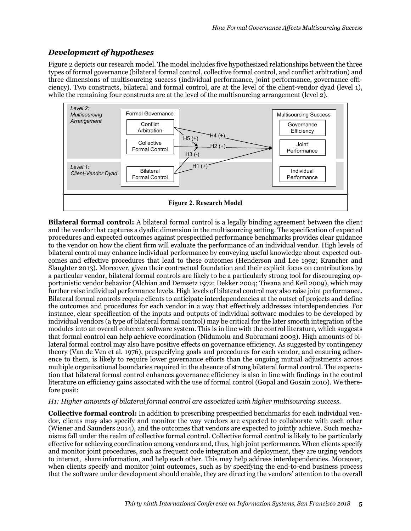## *Development of hypotheses*

Figure 2 depicts our research model. The model includes five hypothesized relationships between the three types of formal governance (bilateral formal control, collective formal control, and conflict arbitration) and three dimensions of multisourcing success (individual performance, joint performance, governance efficiency). Two constructs, bilateral and formal control, are at the level of the client-vendor dyad (level 1), while the remaining four constructs are at the level of the multisourcing arrangement (level 2).



**Bilateral formal control:** A bilateral formal control is a legally binding agreement between the client and the vendor that captures a dyadic dimension in the multisourcing setting. The specification of expected procedures and expected outcomes against prespecified performance benchmarks provides clear guidance to the vendor on how the client firm will evaluate the performance of an individual vendor. High levels of bilateral control may enhance individual performance by conveying useful knowledge about expected outcomes and effective procedures that lead to these outcomes (Henderson and Lee 1992; Krancher and Slaughter 2013). Moreover, given their contractual foundation and their explicit focus on contributions by a particular vendor, bilateral formal controls are likely to be a particularly strong tool for discouraging opportunistic vendor behavior (Alchian and Demsetz 1972; Dekker 2004; Tiwana and Keil 2009), which may further raise individual performance levels. High levels of bilateral control may also raise joint performance. Bilateral formal controls require clients to anticipate interdependencies at the outset of projects and define the outcomes and procedures for each vendor in a way that effectively addresses interdependencies. For instance, clear specification of the inputs and outputs of individual software modules to be developed by individual vendors (a type of bilateral formal control) may be critical for the later smooth integration of the modules into an overall coherent software system. This is in line with the control literature, which suggests that formal control can help achieve coordination (Nidumolu and Subramani 2003). High amounts of bilateral formal control may also have positive effects on governance efficiency. As suggested by contingency theory (Van de Ven et al. 1976), prespecifying goals and procedures for each vendor, and ensuring adherence to them, is likely to require lower governance efforts than the ongoing mutual adjustments across multiple organizational boundaries required in the absence of strong bilateral formal control. The expectation that bilateral formal control enhances governance efficiency is also in line with findings in the control literature on efficiency gains associated with the use of formal control (Gopal and Gosain 2010). We therefore posit:

#### *H1: Higher amounts of bilateral formal control are associated with higher multisourcing success.*

**Collective formal control:** In addition to prescribing prespecified benchmarks for each individual vendor, clients may also specify and monitor the way vendors are expected to collaborate with each other (Wiener and Saunders 2014), and the outcomes that vendors are expected to jointly achieve. Such mechanisms fall under the realm of collective formal control. Collective formal control is likely to be particularly effective for achieving coordination among vendors and, thus, high joint performance. When clients specify and monitor joint procedures, such as frequent code integration and deployment, they are urging vendors to interact, share information, and help each other. This may help address interdependencies. Moreover, when clients specify and monitor joint outcomes, such as by specifying the end-to-end business process that the software under development should enable, they are directing the vendors' attention to the overall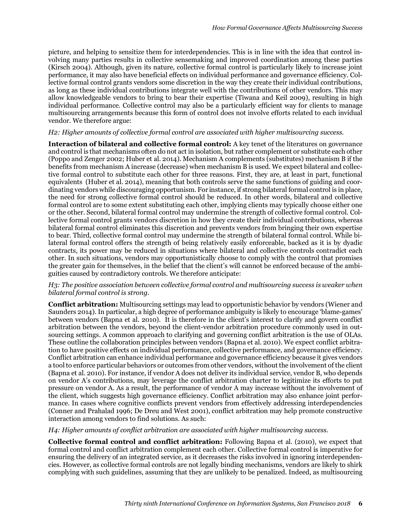picture, and helping to sensitize them for interdependencies. This is in line with the idea that control involving many parties results in collective sensemaking and improved coordination among these parties (Kirsch 2004). Although, given its nature, collective formal control is particularly likely to increase joint performance, it may also have beneficial effects on individual performance and governance efficiency. Collective formal control grants vendors some discretion in the way they create their individual contributions, as long as these individual contributions integrate well with the contributions of other vendors. This may allow knowledgeable vendors to bring to bear their expertise (Tiwana and Keil 2009), resulting in high individual performance. Collective control may also be a particularly efficient way for clients to manage multisourcing arrangements because this form of control does not involve efforts related to each invidual vendor. We therefore argue:

#### *H2: Higher amounts of collective formal control are associated with higher multisourcing success.*

**Interaction of bilateral and collective formal control:** A key tenet of the literatures on governance and control is that mechanisms often do not act in isolation, but rather complement or substitute each other (Poppo and Zenger 2002; Huber et al. 2014). Mechanism A complements (substitutes) mechanism B if the benefits from mechanism A increase (decrease) when mechanism B is used. We expect bilateral and collective formal control to substitute each other for three reasons. First, they are, at least in part, functional equivalents (Huber et al. 2014), meaning that both controls serve the same functions of guiding and coordinating vendors while discouraging opportunism. For instance, if strong bilateral formal control is in place, the need for strong collective formal control should be reduced. In other words, bilateral and collective formal control are to some extent substituting each other, implying clients may typically choose either one or the other. Second, bilateral formal control may undermine the strength of collective formal control. Collective formal control grants vendors discretion in how they create their individual contributions, whereas bilateral formal control eliminates this discretion and prevents vendors from bringing their own expertise to bear. Third, collective formal control may undermine the strength of bilateral formal control. While bilateral formal control offers the strength of being relatively easily enforceable, backed as it is by dyadic contracts, its power may be reduced in situations where bilateral and collective controls contradict each other. In such situations, vendors may opportunistically choose to comply with the control that promises the greater gain for themselves, in the belief that the client's will cannot be enforced because of the ambiguities caused by contradictory controls. We therefore anticipate:

#### *H3: The positive association between collective formal control and multisourcing success is weaker when bilateral formal control is strong.*

**Conflict arbitration:** Multisourcing settings may lead to opportunistic behavior by vendors (Wiener and Saunders 2014). In particular, a high degree of performance ambiguity is likely to encourage 'blame-games' between vendors (Bapna et al. 2010). It is therefore in the client's interest to clarify and govern conflict arbitration between the vendors, beyond the client-vendor arbitration procedure commonly used in outsourcing settings. A common approach to clarifying and governing conflict arbitration is the use of OLAs. These outline the collaboration principles between vendors (Bapna et al. 2010). We expect conflict arbitration to have positive effects on individual performance, collective performance, and governance efficiency. Conflict arbitration can enhance individual performance and governance efficiency because it gives vendors a tool to enforce particular behaviors or outcomes from other vendors, without the involvement of the client (Bapna et al. 2010). For instance, if vendor A does not deliver its individual service, vendor B, who depends on vendor A's contributions, may leverage the conflict arbitration charter to legitimize its efforts to put pressure on vendor A. As a result, the performance of vendor A may increase without the involvement of the client, which suggests high governance efficiency. Conflict arbitration may also enhance joint performance. In cases where cognitive conflicts prevent vendors from effectively addressing interdependencies (Conner and Prahalad 1996; De Dreu and West 2001), conflict arbitration may help promote constructive interaction among vendors to find solutions. As such:

#### *H4: Higher amounts of conflict arbitration are associated with higher multisourcing success.*

**Collective formal control and conflict arbitration:** Following Bapna et al. (2010), we expect that formal control and conflict arbitration complement each other. Collective formal control is imperative for ensuring the delivery of an integrated service, as it decreases the risks involved in ignoring interdependencies. However, as collective formal controls are not legally binding mechanisms, vendors are likely to shirk complying with such guidelines, assuming that they are unlikely to be penalized. Indeed, as multisourcing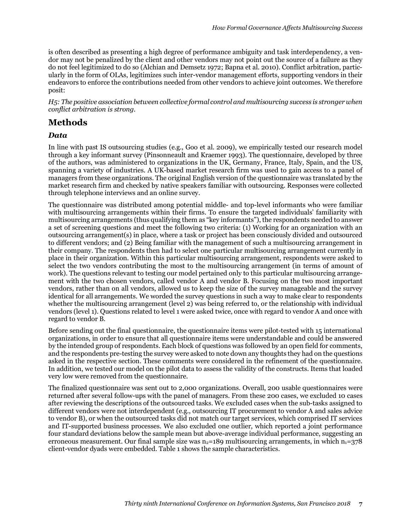is often described as presenting a high degree of performance ambiguity and task interdependency, a vendor may not be penalized by the client and other vendors may not point out the source of a failure as they do not feel legitimized to do so (Alchian and Demsetz 1972; Bapna et al. 2010). Conflict arbitration, particularly in the form of OLAs, legitimizes such inter-vendor management efforts, supporting vendors in their endeavors to enforce the contributions needed from other vendors to achieve joint outcomes. We therefore posit:

*H5: The positive association between collective formal control and multisourcing success is stronger when conflict arbitration is strong.*

# **Methods**

## *Data*

In line with past IS outsourcing studies (e.g., Goo et al. 2009), we empirically tested our research model through a key informant survey (Pinsonneault and Kraemer 1993). The questionnaire, developed by three of the authors, was administered to organizations in the UK, Germany, France, Italy, Spain, and the US, spanning a variety of industries. A UK-based market research firm was used to gain access to a panel of managers from these organizations. The original English version of the questionnaire was translated by the market research firm and checked by native speakers familiar with outsourcing. Responses were collected through telephone interviews and an online survey.

The questionnaire was distributed among potential middle- and top-level informants who were familiar with multisourcing arrangements within their firms. To ensure the targeted individuals' familiarity with multisourcing arrangements (thus qualifying them as "key informants"), the respondents needed to answer a set of screening questions and meet the following two criteria: (1) Working for an organization with an outsourcing arrangement(s) in place, where a task or project has been consciously divided and outsourced to different vendors; and (2) Being familiar with the management of such a multisourcing arrangement in their company. The respondents then had to select one particular multisourcing arrangement currently in place in their organization. Within this particular multisourcing arrangement, respondents were asked to select the two vendors contributing the most to the multisourcing arrangement (in terms of amount of work). The questions relevant to testing our model pertained only to this particular multisourcing arrangement with the two chosen vendors, called vendor A and vendor B. Focusing on the two most important vendors, rather than on all vendors, allowed us to keep the size of the survey manageable and the survey identical for all arrangements. We worded the survey questions in such a way to make clear to respondents whether the multisourcing arrangement (level 2) was being referred to, or the relationship with individual vendors (level 1). Questions related to level 1 were asked twice, once with regard to vendor A and once with regard to vendor B.

Before sending out the final questionnaire, the questionnaire items were pilot-tested with 15 international organizations, in order to ensure that all questionnaire items were understandable and could be answered by the intended group of respondents. Each block of questions was followed by an open field for comments, and the respondents pre-testing the survey were asked to note down any thoughts they had on the questions asked in the respective section. These comments were considered in the refinement of the questionnaire. In addition, we tested our model on the pilot data to assess the validity of the constructs. Items that loaded very low were removed from the questionnaire.

The finalized questionnaire was sent out to 2,000 organizations. Overall, 200 usable questionnaires were returned after several follow-ups with the panel of managers. From these 200 cases, we excluded 10 cases after reviewing the descriptions of the outsourced tasks. We excluded cases when the sub-tasks assigned to different vendors were not interdependent (e.g., outsourcing IT procurement to vendor A and sales advice to vendor B), or when the outsourced tasks did not match our target services, which comprised IT services and IT-supported business processes. We also excluded one outlier, which reported a joint performance four standard deviations below the sample mean but above-average individual performance, suggesting an erroneous measurement. Our final sample size was  $n_2=189$  multisourcing arrangements, in which  $n_1=378$ client-vendor dyads were embedded. Table 1 shows the sample characteristics.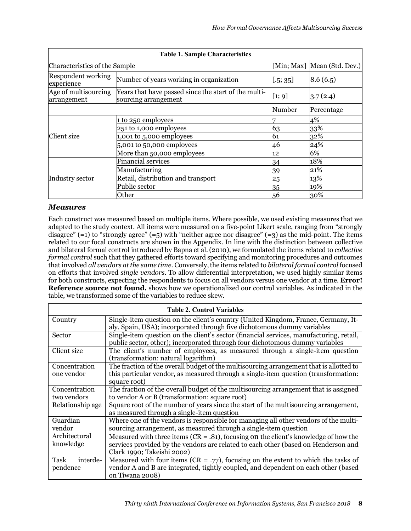| <b>Table 1. Sample Characteristics</b>  |                                                                              |                             |            |  |  |  |
|-----------------------------------------|------------------------------------------------------------------------------|-----------------------------|------------|--|--|--|
| Characteristics of the Sample           |                                                                              | [Min; Max] Mean (Std. Dev.) |            |  |  |  |
| <b>Respondent working</b><br>experience | Number of years working in organization                                      | [.5; 35]                    | 8.6(6.5)   |  |  |  |
| Age of multisourcing<br>arrangement     | Years that have passed since the start of the multi-<br>sourcing arrangement | [1; 9]                      | 3.7(2.4)   |  |  |  |
|                                         |                                                                              | Number                      | Percentage |  |  |  |
|                                         | 1 to 250 employees                                                           |                             | 4%         |  |  |  |
|                                         | 251 to 1,000 employees                                                       | 63                          | 33%        |  |  |  |
| Client size                             | 1,001 to 5,000 employees                                                     | 61                          | $32\%$     |  |  |  |
|                                         | $5,001$ to $50,000$ employees                                                | 46                          | 24%        |  |  |  |
|                                         | More than 50,000 employees                                                   | 12                          | 6%         |  |  |  |
| Industry sector                         | <b>Financial services</b>                                                    | 34                          | 18%        |  |  |  |
|                                         | Manufacturing                                                                | 39                          | 21%        |  |  |  |
|                                         | Retail, distribution and transport                                           | 25                          | 13%        |  |  |  |
|                                         | Public sector                                                                | 35                          | 19%        |  |  |  |
|                                         | Other                                                                        | 56                          | 30%        |  |  |  |

#### *Measures*

Each construct was measured based on multiple items. Where possible, we used existing measures that we adapted to the study context. All items were measured on a five-point Likert scale, ranging from "strongly disagree"  $(=1)$  to "strongly agree"  $(=5)$  with "neither agree nor disagree"  $(=3)$  as the mid-point. The items related to our focal constructs are shown in the Appendix. In line with the distinction between collective and bilateral formal control introduced by Bapna et al. (2010), we formulated the items related to *collective formal control* such that they gathered efforts toward specifying and monitoring procedures and outcomes that involved *all vendors at the same time*. Conversely, the items related to *bilateral formal control* focused on efforts that involved *single vendors*. To allow differential interpretation, we used highly similar items for both constructs, expecting the respondents to focus on all vendors versus one vendor at a time. **Error! Reference source not found.** shows how we operationalized our control variables. As indicated in the table, we transformed some of the variables to reduce skew.

| <b>Table 2. Control Variables</b> |                                                                                                                                                                         |  |  |  |  |  |
|-----------------------------------|-------------------------------------------------------------------------------------------------------------------------------------------------------------------------|--|--|--|--|--|
| Country                           | Single-item question on the client's country (United Kingdom, France, Germany, It-                                                                                      |  |  |  |  |  |
|                                   | aly, Spain, USA); incorporated through five dichotomous dummy variables                                                                                                 |  |  |  |  |  |
| Sector                            | Single-item question on the client's sector (financial services, manufacturing, retail,<br>public sector, other); incorporated through four dichotomous dummy variables |  |  |  |  |  |
| Client size                       | The client's number of employees, as measured through a single-item question<br>(transformation: natural logarithm)                                                     |  |  |  |  |  |
| Concentration                     | The fraction of the overall budget of the multisourcing arrangement that is allotted to                                                                                 |  |  |  |  |  |
| one vendor                        | this particular vendor, as measured through a single-item question (transformation:                                                                                     |  |  |  |  |  |
|                                   | square root)                                                                                                                                                            |  |  |  |  |  |
| Concentration                     | The fraction of the overall budget of the multisourcing arrangement that is assigned                                                                                    |  |  |  |  |  |
| two vendors                       | to vendor A or B (transformation: square root)                                                                                                                          |  |  |  |  |  |
| Relationship age                  | Square root of the number of years since the start of the multisourcing arrangement,                                                                                    |  |  |  |  |  |
|                                   | as measured through a single-item question                                                                                                                              |  |  |  |  |  |
| Guardian                          | Where one of the vendors is responsible for managing all other vendors of the multi-                                                                                    |  |  |  |  |  |
| vendor                            | sourcing arrangement, as measured through a single-item question                                                                                                        |  |  |  |  |  |
| Architectural                     | Measured with three items ( $CR = .81$ ), focusing on the client's knowledge of how the                                                                                 |  |  |  |  |  |
| knowledge                         | services provided by the vendors are related to each other (based on Henderson and                                                                                      |  |  |  |  |  |
|                                   | Clark 1990; Takeishi 2002)                                                                                                                                              |  |  |  |  |  |
| Task<br>interde-                  | Measured with four items ( $CR = .77$ ), focusing on the extent to which the tasks of                                                                                   |  |  |  |  |  |
| pendence                          | vendor A and B are integrated, tightly coupled, and dependent on each other (based                                                                                      |  |  |  |  |  |
|                                   | on Tiwana 2008)                                                                                                                                                         |  |  |  |  |  |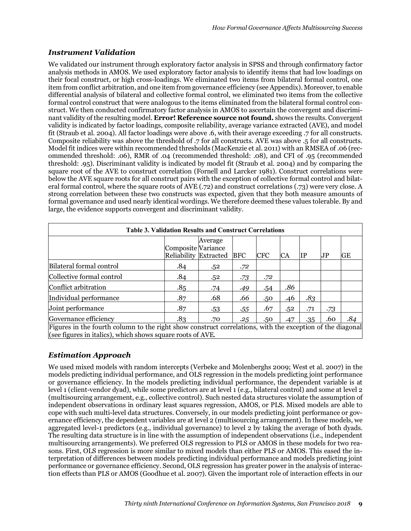## *Instrument Validation*

We validated our instrument through exploratory factor analysis in SPSS and through confirmatory factor analysis methods in AMOS. We used exploratory factor analysis to identify items that had low loadings on their focal construct, or high cross-loadings. We eliminated two items from bilateral formal control, one item from conflict arbitration, and one item from governance efficiency (see Appendix). Moreover, to enable differential analysis of bilateral and collective formal control, we eliminated two items from the collective formal control construct that were analogous to the items eliminated from the bilateral formal control construct. We then conducted confirmatory factor analysis in AMOS to ascertain the convergent and discriminant validity of the resulting model. **Error! Reference source not found.** shows the results. Convergent validity is indicated by factor loadings, composite reliability, average variance extracted (AVE), and model fit (Straub et al. 2004). All factor loadings were above .6, with their average exceeding .7 for all constructs. Composite reliability was above the threshold of .7 for all constructs. AVE was above .5 for all constructs. Model fit indices were within recommended thresholds (MacKenzie et al. 2011) with an RMSEA of .06 (recommended threshold: .06), RMR of .04 (recommended threshold: .08), and CFI of .95 (recommended threshold: .95). Discriminant validity is indicated by model fit (Straub et al. 2004) and by comparing the square root of the AVE to construct correlation (Fornell and Larcker 1981). Construct correlations were below the AVE square roots for all construct pairs with the exception of collective formal control and bilateral formal control, where the square roots of AVE (.72) and construct correlations (.73) were very close. A strong correlation between these two constructs was expected, given that they both measure amounts of formal governance and used nearly identical wordings. We therefore deemed these values tolerable. By and large, the evidence supports convergent and discriminant validity.

| <b>Table 3. Validation Results and Construct Correlations</b>                                                                                                           |                                             |         |            |            |           |     |     |           |  |
|-------------------------------------------------------------------------------------------------------------------------------------------------------------------------|---------------------------------------------|---------|------------|------------|-----------|-----|-----|-----------|--|
|                                                                                                                                                                         | Composite Variance<br>Reliability Extracted | Average | <b>BFC</b> | <b>CFC</b> | <b>CA</b> | IP  | JР  | <b>GE</b> |  |
| Bilateral formal control                                                                                                                                                | .84                                         | .52     | .72        |            |           |     |     |           |  |
| Collective formal control                                                                                                                                               | .84                                         | .52     | .73        | .72        |           |     |     |           |  |
| Conflict arbitration                                                                                                                                                    | .85                                         | .74     | .49        | .54        | .86       |     |     |           |  |
| Individual performance                                                                                                                                                  | .87                                         | .68     | .66        | .50        | .46       | .83 |     |           |  |
| Joint performance                                                                                                                                                       | .87                                         | .53     | .55        | .67        | .52       | .71 | .73 |           |  |
| Governance efficiency                                                                                                                                                   | .83                                         | .70     | .25        | .50        | .47       | .35 | .60 | .84       |  |
| Figures in the fourth column to the right show construct correlations, with the exception of the diagonal<br>(see figures in italics), which shows square roots of AVE. |                                             |         |            |            |           |     |     |           |  |

## *Estimation Approach*

We used mixed models with random intercepts (Verbeke and Molenberghs 2009; West et al. 2007) in the models predicting individual performance, and OLS regression in the models predicting joint performance or governance efficiency. In the models predicting individual performance, the dependent variable is at level 1 (client-vendor dyad), while some predictors are at level 1 (e.g., bilateral control) and some at level 2 (multisourcing arrangement, e.g., collective control). Such nested data structures violate the assumption of independent observations in ordinary least squares regression, AMOS, or PLS. Mixed models are able to cope with such multi-level data structures. Conversely, in our models predicting joint performance or governance efficiency, the dependent variables are at level 2 (multisourcing arrangement). In these models, we aggregated level-1 predictors (e.g., individual governance) to level 2 by taking the average of both dyads. The resulting data structure is in line with the assumption of independent observations (i.e., independent multisourcing arrangements). We preferred OLS regression to PLS or AMOS in these models for two reasons. First, OLS regression is more similar to mixed models than either PLS or AMOS. This eased the interpretation of differences between models predicting individual performance and models predicting joint performance or governance efficiency. Second, OLS regression has greater power in the analysis of interaction effects than PLS or AMOS (Goodhue et al. 2007). Given the important role of interaction effects in our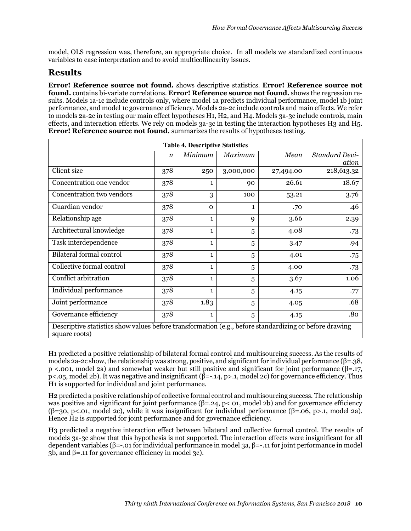model, OLS regression was, therefore, an appropriate choice. In all models we standardized continuous variables to ease interpretation and to avoid multicollinearity issues.

# **Results**

**Error! Reference source not found.** shows descriptive statistics. **Error! Reference source not found.** contains bi-variate correlations. **Error! Reference source not found.** shows the regression results. Models 1a-1c include controls only, where model 1a predicts individual performance, model 1b joint performance, and model 1c governance efficiency. Models 2a-2c include controls and main effects. We refer to models 2a-2c in testing our main effect hypotheses H1, H2, and H4. Models 3a-3c include controls, main effects, and interaction effects. We rely on models 3a-3c in testing the interaction hypotheses H3 and H5. **Error! Reference source not found.** summarizes the results of hypotheses testing.

| <b>Table 4. Descriptive Statistics</b>                                                                                  |                  |              |              |           |                                |  |  |  |
|-------------------------------------------------------------------------------------------------------------------------|------------------|--------------|--------------|-----------|--------------------------------|--|--|--|
|                                                                                                                         | $\boldsymbol{n}$ | Minimum      | Maximum      | Mean      | <b>Standard Devi-</b><br>ation |  |  |  |
| Client size                                                                                                             | 378              | 250          | 3,000,000    | 27,494.00 | 218,613.32                     |  |  |  |
| Concentration one vendor                                                                                                | 378              | 1            | 90           | 26.61     | 18.67                          |  |  |  |
| Concentration two vendors                                                                                               | 378              | 3            | 100          | 53.21     | 3.76                           |  |  |  |
| Guardian vendor                                                                                                         | 378              | $\mathbf 0$  | $\mathbf{1}$ | .70       | .46                            |  |  |  |
| Relationship age                                                                                                        | 378              | $\mathbf{1}$ | 9            | 3.66      | 2.39                           |  |  |  |
| Architectural knowledge                                                                                                 | 378              | $\mathbf{1}$ | 5            | 4.08      | .73                            |  |  |  |
| Task interdependence                                                                                                    | 378              | $\mathbf{1}$ | 5            | 3.47      | .94                            |  |  |  |
| <b>Bilateral formal control</b>                                                                                         | 378              | 1            | 5            | 4.01      | .75                            |  |  |  |
| Collective formal control                                                                                               | 378              | $\mathbf{1}$ | 5            | 4.00      | .73                            |  |  |  |
| Conflict arbitration                                                                                                    | 378              | $\mathbf{1}$ | 5            | 3.67      | 1.06                           |  |  |  |
| Individual performance                                                                                                  | 378              | $\mathbf{1}$ | 5            | 4.15      | .77                            |  |  |  |
| Joint performance                                                                                                       | 378              | 1.83         | 5            | 4.05      | .68                            |  |  |  |
| Governance efficiency                                                                                                   | 378              | $\mathbf{1}$ | 5            | 4.15      | .80                            |  |  |  |
| Descriptive statistics show values before transformation (e.g., before standardizing or before drawing<br>square roots) |                  |              |              |           |                                |  |  |  |

H1 predicted a positive relationship of bilateral formal control and multisourcing success. As the results of models 2a-2c show, the relationship was strong, positive, and significant for individual performance ( $\beta$ =.38, p <.001, model 2a) and somewhat weaker but still positive and significant for joint performance (β=.17, p<.05, model 2b). It was negative and insignificant ( $\hat{\beta}$ =-.14, p>.1, model 2c) for governance efficiency. Thus H<sub>1</sub> is supported for individual and joint performance.

H2 predicted a positive relationship of collective formal control and multisourcing success. The relationship was positive and significant for joint performance  $(\beta = 24, p < 01, \text{ model } 2b)$  and for governance efficiency  $(6=30, p<0.01, \text{model } 2c)$ , while it was insignificant for individual performance  $(6=0.06, p>1, \text{model } 2a)$ . Hence H<sub>2</sub> is supported for joint performance and for governance efficiency.

H3 predicted a negative interaction effect between bilateral and collective formal control. The results of models 3a-3c show that this hypothesis is not supported. The interaction effects were insignificant for all dependent variables (β=-.01 for individual performance in model 3a, β=-.11 for joint performance in model 3b, and β=.11 for governance efficiency in model 3c).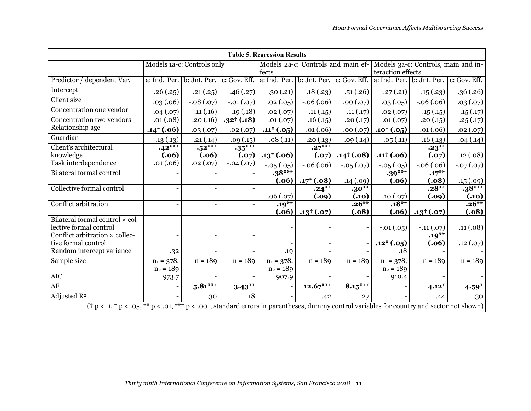| <b>Table 5. Regression Results</b>                                                                                                            |                            |                                        |                      |                                             |                                        |                      |                                                          |                      |               |
|-----------------------------------------------------------------------------------------------------------------------------------------------|----------------------------|----------------------------------------|----------------------|---------------------------------------------|----------------------------------------|----------------------|----------------------------------------------------------|----------------------|---------------|
|                                                                                                                                               | Models 1a-c: Controls only |                                        |                      | Models 2a-c: Controls and main ef-<br>fects |                                        |                      | Models 3a-c: Controls, main and in-<br>teraction effects |                      |               |
| Predictor / dependent Var.                                                                                                                    |                            | a: Ind. Per. b: Jnt. Per. c: Gov. Eff. |                      |                                             | a: Ind. Per. b: Jnt. Per. c: Gov. Eff. |                      | a: Ind. Per.                                             | b: Jnt. Per.         | c: Gov. Eff.  |
| Intercept                                                                                                                                     | .26(.25)                   | .21(.25)                               | .46(.27)             | .30(.21)                                    | .18(.23)                               | .51(.26)             | .27(.21)                                                 | .15(.23)             | .36(.26)      |
| <b>Client</b> size                                                                                                                            | .03(.06)                   | $-.08(.07)$                            | $-.01(.07)$          | .02(.05)                                    | $-.06(.06)$                            | .00(.07)             | .03(.05)                                                 | $-.06(.06)$          | .03(.07)      |
| Concentration one vendor                                                                                                                      | .04(.07)                   | $-.11(.16)$                            | $-.19(.18)$          | $-.02(.07)$                                 | $-.11(.15)$                            | $-.11(.17)$          | $-.02(.07)$                                              | $-.15(.15)$          | $-.15(.17)$   |
| Concentration two vendors                                                                                                                     | .01(.08)                   | .20(.16)                               | $.32^{\dagger}(.18)$ | .01(.07)                                    | .16(.15)                               | .20(.17)             | .01(.07)                                                 | .20(.15)             | .25(.17)      |
| Relationship age                                                                                                                              | $.14*(.06)$                | .03(.07)                               | .02(.07)             | $.11^*(.05)$                                | .01(.06)                               | .00(.07)             | $.10^{+}(.05)$                                           | .01(.06)             | $-.02(.07)$   |
| Guardian                                                                                                                                      | .13(.13)                   | $-.21(.14)$                            | $-.09(.15)$          | .08(.11)                                    | $-.20(.13)$                            | $-.09(.14)$          | .05(.11)                                                 | $-.16(.13)$          | $-.04(.14)$   |
| Client's architectural                                                                                                                        | $.42***$                   | $.52***$                               | $.35***$             |                                             | $.27***$                               |                      |                                                          | $.23***$             |               |
| knowledge<br>Task interdependence                                                                                                             | (.06)<br>.01(.06)          | (.06)                                  | (.07)                | $.13*(.06)$                                 | (.07)                                  | $.14^{\dagger}(.08)$ | $.11^{\dagger} (.06)$                                    | (.07)                | .12(.08)      |
|                                                                                                                                               |                            | .02(.07)                               | $-.04(.07)$          | $-.05(.05)$                                 | $-.06(.06)$                            | $-.05(.07)$          | $-.05(.05)$                                              | $-.06(.06)$          | $-0.07(0.07)$ |
| <b>Bilateral formal control</b>                                                                                                               |                            |                                        |                      | $.38***$<br>(.06)                           | $.17*(.08)$                            | $-.14(.09)$          | $.39***$<br>(.06)                                        | $.17***$<br>(.08)    | $-.15(.09)$   |
| Collective formal control                                                                                                                     |                            |                                        |                      |                                             | $.24***$                               | $\cdot 30***$        |                                                          | $.28**$              | $.38***$      |
|                                                                                                                                               |                            |                                        |                      | .06(.07)                                    | (.09)                                  | (.10)                | .10(.07)                                                 | (.09)                | (.10)         |
| Conflict arbitration                                                                                                                          |                            |                                        |                      | $.19***$                                    |                                        | $.26***$             | $.18***$                                                 |                      | $.26**$       |
|                                                                                                                                               |                            |                                        |                      | (.06)                                       | $.13^{\dagger}(.07)$                   | (.08)                | (.06)                                                    | $.13^{\dagger}(.07)$ | (.08)         |
| Bilateral formal control × col-<br>lective formal control                                                                                     |                            |                                        |                      |                                             |                                        |                      | $-.01(.05)$                                              | $-.11(.07)$          | .11(.08)      |
| Conflict arbitration $\times$ collec-                                                                                                         |                            |                                        |                      |                                             |                                        |                      |                                                          | $.19***$             |               |
| tive formal control                                                                                                                           |                            |                                        |                      |                                             |                                        |                      | $.12*(.05)$                                              | (.06)                | .12(.07)      |
| Random intercept variance                                                                                                                     | .32                        |                                        |                      | .19                                         |                                        |                      | .18                                                      |                      |               |
| Sample size                                                                                                                                   | $n_1 = 378,$               | $n = 189$                              | $n = 189$            | $n_1 = 378,$                                | $n = 189$                              | $n = 189$            | $n_1 = 378,$                                             | $n = 189$            | $n = 189$     |
|                                                                                                                                               | $n_2 = 189$                |                                        |                      | $n_2 = 189$                                 |                                        |                      | $n_2 = 189$                                              |                      |               |
| <b>AIC</b>                                                                                                                                    | 973.7                      |                                        |                      | 907.9                                       |                                        |                      | 910.4                                                    |                      |               |
| $\overline{\Delta \mathrm{F}}$                                                                                                                |                            | $5.81***$                              | $3.43***$            |                                             | $12.67***$                             | $8.15***$            |                                                          | $4.12*$              | $4.59*$       |
| Adjusted $R^2$                                                                                                                                |                            | .30                                    | .18                  |                                             | .42                                    | .27                  |                                                          | .44                  | .30           |
| $(\dagger p < .1, *p < .05, **p < .01, **p < .001,$ standard errors in parentheses, dummy control variables for country and sector not shown) |                            |                                        |                      |                                             |                                        |                      |                                                          |                      |               |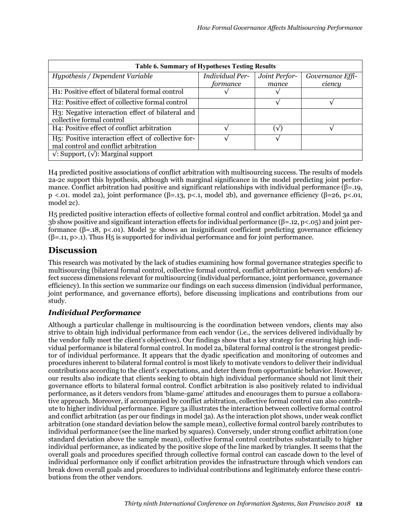| <b>Table 6. Summary of Hypotheses Testing Results</b>                                                   |                        |               |                  |  |  |  |  |
|---------------------------------------------------------------------------------------------------------|------------------------|---------------|------------------|--|--|--|--|
| Hypothesis / Dependent Variable                                                                         | <b>Individual Per-</b> | Joint Perfor- | Governance Effi- |  |  |  |  |
|                                                                                                         | formance               | mance         | ciency           |  |  |  |  |
| H <sub>1</sub> : Positive effect of bilateral formal control                                            |                        |               |                  |  |  |  |  |
| H <sub>2</sub> : Positive effect of collective formal control                                           |                        |               |                  |  |  |  |  |
| H3: Negative interaction effect of bilateral and                                                        |                        |               |                  |  |  |  |  |
| collective formal control                                                                               |                        |               |                  |  |  |  |  |
| H4: Positive effect of conflict arbitration                                                             |                        | (√)           |                  |  |  |  |  |
| H <sub>5</sub> : Positive interaction effect of collective for-<br>mal control and conflict arbitration |                        |               |                  |  |  |  |  |
| $\sqrt{ }$ : Support, $(\sqrt{ } )$ : Marginal support                                                  |                        |               |                  |  |  |  |  |

H4 predicted positive associations of conflict arbitration with multisourcing success. The results of models 2a-2c support this hypothesis, although with marginal significance in the model predicting joint performance. Conflict arbitration had positive and significant relationships with individual performance ( $\beta$ =.19, p <.01. model 2a), joint performance (β=.13, p<.1, model 2b), and governance efficiency (β=26, p<.01, model 2c).

H5 predicted positive interaction effects of collective formal control and conflict arbitration. Model 3a and 3b show positive and significant interaction effects for individual performance (β=.12, p<.05) and joint performance (β=.18, p<.01). Model 3c shows an insignificant coefficient predicting governance efficiency (β=.11, p>.1). Thus H5 is supported for individual performance and for joint performance.

# **Discussion**

This research was motivated by the lack of studies examining how formal governance strategies specific to multisourcing (bilateral formal control, collective formal control, conflict arbitration between vendors) affect success dimensions relevant for multisourcing (individual performance, joint performance, governance efficiency). In this section we summarize our findings on each success dimension (individual performance, joint performance, and governance efforts), before discussing implications and contributions from our study.

## *Individual Performance*

Although a particular challenge in multisourcing is the coordination between vendors, clients may also strive to obtain high individual performance from each vendor (i.e., the services delivered individually by the vendor fully meet the client's objectives). Our findings show that a key strategy for ensuring high individual performance is bilateral formal control. In model 2a, bilateral formal control is the strongest predictor of individual performance. It appears that the dyadic specification and monitoring of outcomes and procedures inherent to bilateral formal control is most likely to motivate vendors to deliver their individual contributions according to the client's expectations, and deter them from opportunistic behavior. However, our results also indicate that clients seeking to obtain high individual performance should not limit their governance efforts to bilateral formal control. Conflict arbitration is also positively related to individual performance, as it deters vendors from 'blame-game' attitudes and encourages them to pursue a collaborative approach. Moreover, if accompanied by conflict arbitration, collective formal control can also contribute to higher individual performance. Figure 3a illustrates the interaction between collective formal control and conflict arbitration (as per our findings in model 3a). As the interaction plot shows, under weak conflict arbitration (one standard deviation below the sample mean), collective formal control barely contributes to individual performance (see the line marked by squares). Conversely, under strong conflict arbitration (one standard deviation above the sample mean), collective formal control contributes substantially to higher individual performance, as indicated by the positive slope of the line marked by triangles. It seems that the overall goals and procedures specified through collective formal control can cascade down to the level of individual performance only if conflict arbitration provides the infrastructure through which vendors can break down overall goals and procedures to individual contributions and legitimately enforce these contributions from the other vendors.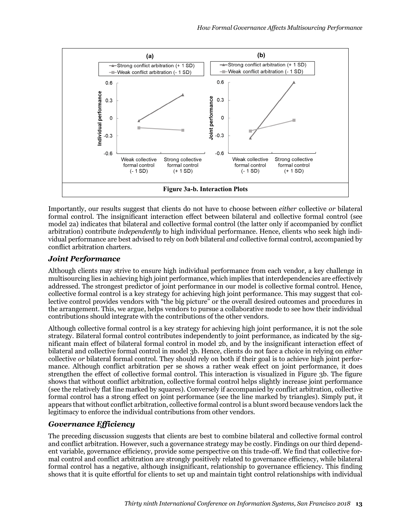

Importantly, our results suggest that clients do not have to choose between *either* collective *or* bilateral formal control. The insignificant interaction effect between bilateral and collective formal control (see model 2a) indicates that bilateral and collective formal control (the latter only if accompanied by conflict arbitration) contribute *independently* to high individual performance. Hence, clients who seek high individual performance are best advised to rely on *both* bilateral *and* collective formal control, accompanied by conflict arbitration charters.

#### *Joint Performance*

Although clients may strive to ensure high individual performance from each vendor, a key challenge in multisourcing lies in achieving high joint performance, which implies that interdependencies are effectively addressed. The strongest predictor of joint performance in our model is collective formal control. Hence, collective formal control is a key strategy for achieving high joint performance. This may suggest that collective control provides vendors with "the big picture" or the overall desired outcomes and procedures in the arrangement. This, we argue, helps vendors to pursue a collaborative mode to see how their individual contributions should integrate with the contributions of the other vendors.

Although collective formal control is a key strategy for achieving high joint performance, it is not the sole strategy. Bilateral formal control contributes independently to joint performance, as indicated by the significant main effect of bilateral formal control in model 2b, and by the insignificant interaction effect of bilateral and collective formal control in model 3b. Hence, clients do not face a choice in relying on *either* collective *or* bilateral formal control. They should rely on both if their goal is to achieve high joint performance. Although conflict arbitration per se shows a rather weak effect on joint performance, it does strengthen the effect of collective formal control. This interaction is visualized in Figure 3b. The figure shows that without conflict arbitration, collective formal control helps slightly increase joint performance (see the relatively flat line marked by squares). Conversely if accompanied by conflict arbitration, collective formal control has a strong effect on joint performance (see the line marked by triangles). Simply put, it appears that without conflict arbitration, collective formal control is a blunt sword because vendors lack the legitimacy to enforce the individual contributions from other vendors.

## *Governance Efficiency*

The preceding discussion suggests that clients are best to combine bilateral and collective formal control and conflict arbitration. However, such a governance strategy may be costly. Findings on our third dependent variable, governance efficiency, provide some perspective on this trade-off. We find that collective formal control and conflict arbitration are strongly positively related to governance efficiency, while bilateral formal control has a negative, although insignificant, relationship to governance efficiency. This finding shows that it is quite effortful for clients to set up and maintain tight control relationships with individual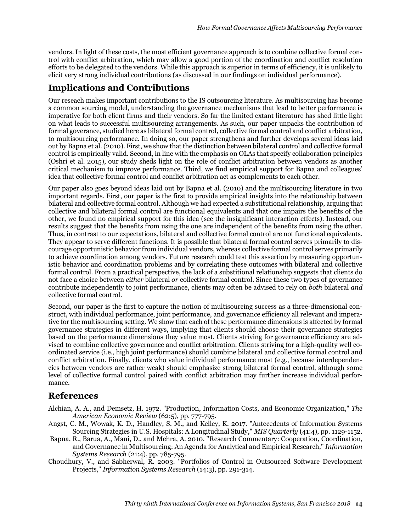vendors. In light of these costs, the most efficient governance approach is to combine collective formal control with conflict arbitration, which may allow a good portion of the coordination and conflict resolution efforts to be delegated to the vendors. While this approach is superior in terms of efficiency, it is unlikely to elicit very strong individual contributions (as discussed in our findings on individual performance).

# **Implications and Contributions**

Our reseach makes important contributions to the IS outsourcing literature. As multisourcing has become a common sourcing model, understanding the governance mechanisms that lead to better performance is imperative for both client firms and their vendors. So far the limited extant literature has shed little light on what leads to successful multisourcing arrangements. As such, our paper unpacks the contribution of formal goverance, studied here as bilateral formal control, collective formal control and conflict arbitration, to multisourcing performance. In doing so, our paper strengthens and further develops several ideas laid out by Bapna et al. (2010). First, we show that the distinction between bilateral control and collective formal control is empirically valid. Second, in line with the emphasis on OLAs that specify collaboration principles (Oshri et al. 2015), our study sheds light on the role of conflict arbitration between vendors as another critical mechanism to improve performance. Third, we find empirical support for Bapna and colleagues' idea that collective formal control and conflict arbitration act as complements to each other.

Our paper also goes beyond ideas laid out by Bapna et al. (2010) and the multisourcing literature in two important regards. First, our paper is the first to provide empirical insights into the relationship between bilateral and collective formal control. Although we had expected a substitutional relationship, arguing that collective and bilateral formal control are functional equivalents and that one impairs the benefits of the other, we found no empirical support for this idea (see the insignificant interaction effects). Instead, our results suggest that the benefits from using the one are independent of the benefits from using the other. Thus, in contrast to our expectations, bilateral and collective formal control are not functional equivalents. They appear to serve different functions. It is possible that bilateral formal control serves primarily to discourage opportunistic behavior from individual vendors, whereas collective formal control serves primarily to achieve coordination among vendors. Future research could test this assertion by measuring opportunistic behavior and coordination problems and by correlating these outcomes with bilateral and collective formal control. From a practical perspective, the lack of a substitional relationship suggests that clients do not face a choice between *either* bilateral *or* collective formal control. Since these two types of governance contribute independently to joint performance, clients may often be advised to rely on *both* bilateral *and* collective formal control.

Second, our paper is the first to capture the notion of multisourcing success as a three-dimensional construct, with individual performance, joint performance, and governance efficiency all relevant and imperative for the multisourcing setting. We show that each of these performance dimensions is affected by formal governance strategies in different ways, implying that clients should choose their governance strategies based on the performance dimensions they value most. Clients striving for governance efficiency are advised to combine collective governance and conflict arbitration. Clients striving for a high-quality well coordinated service (i.e., high joint performance) should combine bilateral and collective formal control and conflict arbitration. Finally, clients who value individual performance most (e.g., because interdependencies between vendors are rather weak) should emphasize strong bilateral formal control, although some level of collective formal control paired with conflict arbitration may further increase individual performance.

## **References**

- Alchian, A. A., and Demsetz, H. 1972. "Production, Information Costs, and Economic Organization," *The American Economic Review* (62:5), pp. 777-795.
- Angst, C. M., Wowak, K. D., Handley, S. M., and Kelley, K. 2017. "Antecedents of Information Systems Sourcing Strategies in U.S. Hospitals: A Longitudinal Study," *MIS Quarterly* (41:4), pp. 1129-1152.
- Bapna, R., Barua, A., Mani, D., and Mehra, A. 2010. "Research Commentary: Cooperation, Coordination, and Governance in Multisourcing: An Agenda for Analytical and Empirical Research," *Information Systems Research* (21:4), pp. 785-795.
- Choudhury, V., and Sabherwal, R. 2003. "Portfolios of Control in Outsourced Software Development Projects," *Information Systems Research* (14:3), pp. 291-314.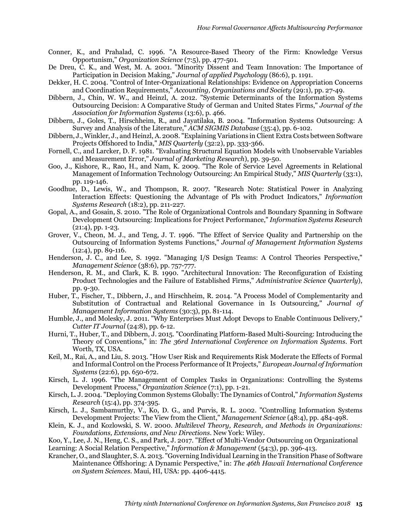- Conner, K., and Prahalad, C. 1996. "A Resource-Based Theory of the Firm: Knowledge Versus Opportunism," *Organization Science* (7:5), pp. 477-501.
- De Dreu, C. K., and West, M. A. 2001. "Minority Dissent and Team Innovation: The Importance of Participation in Decision Making," *Journal of applied Psychology* (86:6), p. 1191.
- Dekker, H. C. 2004. "Control of Inter-Organizational Relationships: Evidence on Appropriation Concerns and Coordination Requirements," *Accounting, Organizations and Society* (29:1), pp. 27-49.
- Dibbern, J., Chin, W. W., and Heinzl, A. 2012. "Systemic Determinants of the Information Systems Outsourcing Decision: A Comparative Study of German and United States Firms," *Journal of the Association for Information Systems* (13:6), p. 466.
- Dibbern, J., Goles, T., Hirschheim, R., and Jayatilaka, B. 2004. "Information Systems Outsourcing: A Survey and Analysis of the Literature," *ACM SIGMIS Database* (35:4), pp. 6-102.
- Dibbern, J., Winkler, J., and Heinzl, A. 2008. "Explaining Variations in Client Extra Costs between Software Projects Offshored to India," *MIS Quarterly* (32:2), pp. 333-366.
- Fornell, C., and Larcker, D. F. 1981. "Evaluating Structural Equation Models with Unobservable Variables and Measurement Error," *Journal of Marketing Research*), pp. 39-50.
- Goo, J., Kishore, R., Rao, H., and Nam, K. 2009. "The Role of Service Level Agreements in Relational Management of Information Technology Outsourcing: An Empirical Study," *MIS Quarterly* (33:1), pp. 119-146.
- Goodhue, D., Lewis, W., and Thompson, R. 2007. "Research Note: Statistical Power in Analyzing Interaction Effects: Questioning the Advantage of Pls with Product Indicators," *Information Systems Research* (18:2), pp. 211-227.
- Gopal, A., and Gosain, S. 2010. "The Role of Organizational Controls and Boundary Spanning in Software Development Outsourcing: Implications for Project Performance," *Information Systems Research*  $(21:4)$ , pp. 1-23.
- Grover, V., Cheon, M. J., and Teng, J. T. 1996. "The Effect of Service Quality and Partnership on the Outsourcing of Information Systems Functions," *Journal of Management Information Systems* (12:4), pp. 89-116.
- Henderson, J. C., and Lee, S. 1992. "Managing I/S Design Teams: A Control Theories Perspective," *Management Science* (38:6), pp. 757-777.
- Henderson, R. M., and Clark, K. B. 1990. "Architectural Innovation: The Reconfiguration of Existing Product Technologies and the Failure of Established Firms," *Administrative Science Quarterly*), pp. 9-30.
- Huber, T., Fischer, T., Dibbern, J., and Hirschheim, R. 2014. "A Process Model of Complementarity and Substitution of Contractual and Relational Governance in Is Outsourcing," *Journal of Management Information Systems* (30:3), pp. 81-114.
- Humble, J., and Molesky, J. 2011. "Why Enterprises Must Adopt Devops to Enable Continuous Delivery," *Cutter IT Journal* (24:8), pp. 6-12.
- Hurni, T., Huber, T., and Dibbern, J. 2015. "Coordinating Platform-Based Multi-Sourcing: Introducing the Theory of Conventions," in: *The 36rd International Conference on Information Systems*. Fort Worth, TX, USA.
- Keil, M., Rai, A., and Liu, S. 2013. "How User Risk and Requirements Risk Moderate the Effects of Formal and Informal Control on the Process Performance of It Projects," *European Journal of Information Systems* (22:6), pp. 650-672.
- Kirsch, L. J. 1996. "The Management of Complex Tasks in Organizations: Controlling the Systems Development Process," *Organization Science* (7:1), pp. 1-21.
- Kirsch, L. J. 2004. "Deploying Common Systems Globally: The Dynamics of Control," *Information Systems Research* (15:4), pp. 374-395.
- Kirsch, L. J., Sambamurthy, V., Ko, D. G., and Purvis, R. L. 2002. "Controlling Information Systems Development Projects: The View from the Client," *Management Science* (48:4), pp. 484-498.
- Klein, K. J., and Kozlowski, S. W. 2000. *Multilevel Theory, Research, and Methods in Organizations: Foundations, Extensions, and New Directions*. New York: Wiley.
- Koo, Y., Lee, J. N., Heng, C. S., and Park, J. 2017. "Effect of Multi-Vendor Outsourcing on Organizational Learning: A Social Relation Perspective," *Information & Management* (54:3), pp. 396-413.
- Krancher, O., and Slaughter, S. A. 2013. "Governing Individual Learning in the Transition Phase of Software Maintenance Offshoring: A Dynamic Perspective," in: *The 46th Hawaii International Conference on System Sciences*. Maui, HI, USA: pp. 4406-4415.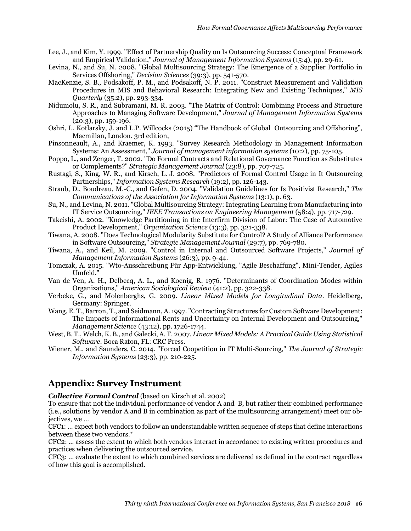- Lee, J., and Kim, Y. 1999. "Effect of Partnership Quality on Is Outsourcing Success: Conceptual Framework and Empirical Validation," *Journal of Management Information Systems* (15:4), pp. 29-61.
- Levina, N., and Su, N. 2008. "Global Multisourcing Strategy: The Emergence of a Supplier Portfolio in Services Offshoring," *Decision Sciences* (39:3), pp. 541-570.
- MacKenzie, S. B., Podsakoff, P. M., and Podsakoff, N. P. 2011. "Construct Measurement and Validation Procedures in MIS and Behavioral Research: Integrating New and Existing Techniques," *MIS Quarterly* (35:2), pp. 293-334.
- Nidumolu, S. R., and Subramani, M. R. 2003. "The Matrix of Control: Combining Process and Structure Approaches to Managing Software Development," *Journal of Management Information Systems* (20:3), pp. 159-196.
- Oshri, I., Kotlarsky, J. and L.P. Willcocks (2015) "The Handbook of Global Outsourcing and Offshoring", Macmillan, London. 3rd edition,
- Pinsonneault, A., and Kraemer, K. 1993. "Survey Research Methodology in Management Information Systems: An Assessment," *Journal of management information systems* (10:2), pp. 75-105.
- Poppo, L., and Zenger, T. 2002. "Do Formal Contracts and Relational Governance Function as Substitutes or Complements?" *Strategic Management Journal* (23:8), pp. 707-725.
- Rustagi, S., King, W. R., and Kirsch, L. J. 2008. "Predictors of Formal Control Usage in It Outsourcing Partnerships," *Information Systems Research* (19:2), pp. 126-143.
- Straub, D., Boudreau, M.-C., and Gefen, D. 2004. "Validation Guidelines for Is Positivist Research," *The Communications of the Association for Information Systems* (13:1), p. 63.
- Su, N., and Levina, N. 2011. "Global Multisourcing Strategy: Integrating Learning from Manufacturing into IT Service Outsourcing," *IEEE Transactions on Engineering Management* (58:4), pp. 717-729.
- Takeishi, A. 2002. "Knowledge Partitioning in the Interfirm Division of Labor: The Case of Automotive Product Development," *Organization Science* (13:3), pp. 321-338.
- Tiwana, A. 2008. "Does Technological Modularity Substitute for Control? A Study of Alliance Performance in Software Outsourcing," *Strategic Management Journal* (29:7), pp. 769-780.
- Tiwana, A., and Keil, M. 2009. "Control in Internal and Outsourced Software Projects," *Journal of Management Information Systems* (26:3), pp. 9-44.
- Tomczak, A. 2015. "Wto-Ausschreibung Für App-Entwicklung, "Agile Beschaffung", Mini-Tender, Agiles Umfeld."
- Van de Ven, A. H., Delbecq, A. L., and Koenig, R. 1976. "Determinants of Coordination Modes within Organizations," *American Sociological Review* (41:2), pp. 322-338.
- Verbeke, G., and Molenberghs, G. 2009. *Linear Mixed Models for Longitudinal Data*. Heidelberg, Germany: Springer.
- Wang, E. T., Barron, T., and Seidmann, A. 1997. "Contracting Structures for Custom Software Development: The Impacts of Informational Rents and Uncertainty on Internal Development and Outsourcing," *Management Science* (43:12), pp. 1726-1744.
- West, B. T., Welch, K. B., and Galecki, A. T. 2007. *Linear Mixed Models: A Practical Guide Using Statistical Software*. Boca Raton, FL: CRC Press.
- Wiener, M., and Saunders, C. 2014. "Forced Coopetition in IT Multi-Sourcing," *The Journal of Strategic Information Systems* (23:3), pp. 210-225.

## **Appendix: Survey Instrument**

*Collective Formal Control* (based on Kirsch et al. 2002)

To ensure that not the individual performance of vendor A and B, but rather their combined performance (i.e., solutions by vendor A and B in combination as part of the multisourcing arrangement) meet our objectives, we …

CFC1: … expect both vendors to follow an understandable written sequence of steps that define interactions between these two vendors.\*

CFC2: … assess the extent to which both vendors interact in accordance to existing written procedures and practices when delivering the outsourced service.

CFC3: … evaluate the extent to which combined services are delivered as defined in the contract regardless of how this goal is accomplished.